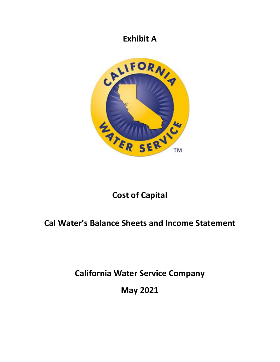### **Exhibit A**



# **Cost of Capital**

# **Cal Water's Balance Sheets and Income Statement**

**California Water Service Company** 

**May 2021**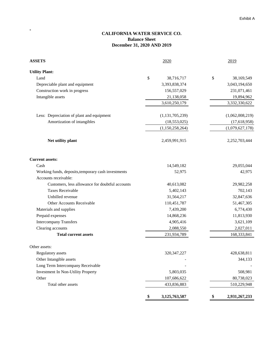#### **CALIFORNIA WATER SERVICE CO. Balance Sheet December 31, 2020 AND 2019**

 $\hat{\mathbf{r}}$ 

| <b>ASSETS</b>                                       | 2020                | 2019             |  |  |
|-----------------------------------------------------|---------------------|------------------|--|--|
| <b>Utility Plant:</b>                               |                     |                  |  |  |
| Land                                                | \$<br>38,716,717    | \$<br>38,169,549 |  |  |
| Depreciable plant and equipment                     | 3,393,838,374       | 3,043,194,650    |  |  |
| Construction work in progress                       | 156,557,029         | 231,071,461      |  |  |
| Intangible assets                                   | 21,138,058          | 19,894,962       |  |  |
|                                                     | 3,610,250,179       | 3,332,330,622    |  |  |
|                                                     |                     |                  |  |  |
| Less: Depreciation of plant and equipment           | (1, 131, 705, 239)  | (1,062,008,219)  |  |  |
| Amortization of intangibles                         | (18, 553, 025)      | (17, 618, 958)   |  |  |
|                                                     | (1,150,258,264)     | (1,079,627,178)  |  |  |
| Net utility plant                                   | 2,459,991,915       | 2,252,703,444    |  |  |
| <b>Current assets:</b>                              |                     |                  |  |  |
| Cash                                                | 14,549,182          | 29,055,044       |  |  |
| Working funds, deposits, temporary cash investments | 52,975              | 42,975           |  |  |
| Accounts receivable:                                |                     |                  |  |  |
| Customers, less allowance for doubtful accounts     | 40,613,082          | 29,982,258       |  |  |
| <b>Taxes Receivable</b>                             | 5,402,143           | 702,143          |  |  |
| Unbilled revenue                                    | 31,564,217          | 32,847,636       |  |  |
| Other Accounts Receivable                           | 110,451,787         | 51,467,305       |  |  |
| Materials and supplies                              | 7,439,200           | 6,774,430        |  |  |
| Prepaid expenses                                    | 14,868,236          | 11,813,930       |  |  |
| <b>Intercompany Transfers</b>                       | 4,905,416           | 3,621,109        |  |  |
| Clearing accounts                                   | 2,088,550           | 2,027,011        |  |  |
| <b>Total current assets</b>                         | 231,934,789         | 168,333,841      |  |  |
| Other assets:                                       |                     |                  |  |  |
| Regulatory assets                                   | 320, 347, 227       | 428,638,811      |  |  |
| Other Intangible assets                             |                     | 344,133          |  |  |
| Long Term Intercompany Receivable                   |                     |                  |  |  |
| Investment In Non-Utility Property                  | 5,803,035           | 508,981          |  |  |
| Other                                               | 107,686,622         | 80,738,023       |  |  |
| Total other assets                                  | 433,836,883         | 510,229,948      |  |  |
|                                                     | 3,125,763,587<br>\$ | 2,931,267,233    |  |  |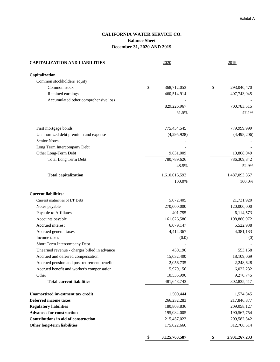### **CALIFORNIA WATER SERVICE CO. Balance Sheet December 31, 2020 AND 2019**

| <b>CAPITALIZATION AND LIABILITIES</b>        | 2020               | 2019              |  |  |
|----------------------------------------------|--------------------|-------------------|--|--|
| Capitalization                               |                    |                   |  |  |
| Common stockholders' equity                  |                    |                   |  |  |
| Common stock                                 | \$<br>368,712,053  | \$<br>293,040,470 |  |  |
| Retained earnings                            | 460,514,914        | 407,743,045       |  |  |
| Accumulated other comprehensive loss         |                    |                   |  |  |
|                                              | 829,226,967        | 700,783,515       |  |  |
|                                              | 51.5%              | 47.1%             |  |  |
| First mortgage bonds                         | 775,454,545        | 779,999,999       |  |  |
| Unamortized debt premium and expense         | (4,295,928)        | (4,498,206)       |  |  |
| Senior Notes                                 |                    |                   |  |  |
| Long Term Intercompany Debt                  |                    |                   |  |  |
| Other Long-Term Debt                         | 9,631,009          | 10,808,049        |  |  |
| <b>Total Long Term Debt</b>                  | 780,789,626        | 786,309,842       |  |  |
|                                              | 48.5%              | 52.9%             |  |  |
| <b>Total capitalization</b>                  | 1,610,016,593      | 1,487,093,357     |  |  |
|                                              | 100.0%             | 100.0%            |  |  |
| <b>Current liabilities:</b>                  |                    |                   |  |  |
| Current maturities of LT Debt                | 5,072,405          | 21,731,920        |  |  |
| Notes payable                                | 270,000,000        | 120,000,000       |  |  |
| Payable to Affiliates                        | 401,755            | 6,114,573         |  |  |
| Accounts payable                             | 161,626,586        | 108,880,972       |  |  |
| Accrued interest                             | 6,079,147          | 5,522,938         |  |  |
| Accrued general taxes                        | 4,414,367          | 4,381,183         |  |  |
| Income taxes                                 | (0.0)              | (0)               |  |  |
| Short Term Intercompany Debt                 |                    |                   |  |  |
| Unearned revenue - charges billed in advance | 450,196            | 553,158           |  |  |
| Accrued and deferred compensation            | 15,032,400         | 18,109,069        |  |  |
| Accrued pension and post retirement benefits | 2,056,735          | 2,248,628         |  |  |
| Accrued benefit and worker's compensation    | 5,979,156          | 6,022,232         |  |  |
| Other                                        | 10,535,996         | 9,270,745         |  |  |
| <b>Total current liabilities</b>             | 481,648,743        | 302,835,417       |  |  |
| <b>Unamortized investment tax credit</b>     | 1,500,444          | 1,574,845         |  |  |
| <b>Deferred income taxes</b>                 | 266,232,283        | 217,846,877       |  |  |
| <b>Regulatory liabilities</b>                | 180,803,836        | 209,058,127       |  |  |
| <b>Advances for construction</b>             | 195,082,005        | 190,567,754       |  |  |
| Contributions in aid of construction         | 215,457,023        | 209,582,342       |  |  |
| <b>Other long-term liabilities</b>           | 175,022,660        | 312,708,514       |  |  |
|                                              | 3,125,763,587<br>₩ | 2,931,267,233     |  |  |